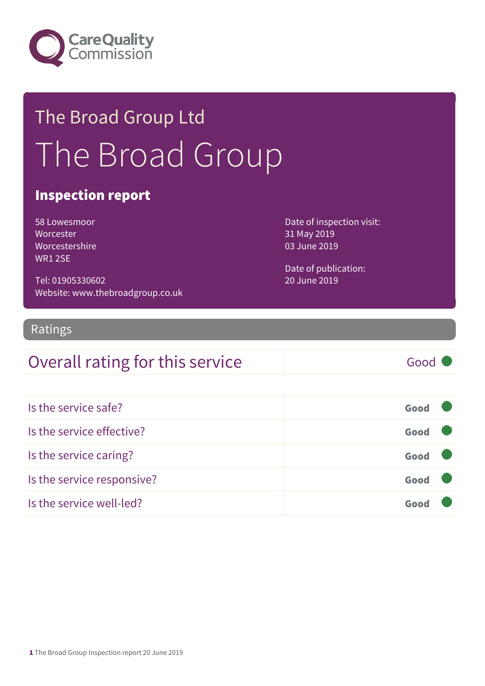

## The Broad Group Ltd The Broad Group

#### Inspection report

| 58 Lowesmoor        |
|---------------------|
| Worcester           |
| Worcestershire      |
| WR1 <sub>2</sub> SF |

Tel: 01905330602 Website: www.thebroadgroup.co.uk Date of inspection visit: 31 May 2019 03 June 2019

Date of publication: 20 June 2019

#### Ratings

### Overall rating for this service Good

| Is the service safe?       | Good |  |
|----------------------------|------|--|
| Is the service effective?  | Good |  |
| Is the service caring?     | Good |  |
| Is the service responsive? | Good |  |
| Is the service well-led?   | Goo  |  |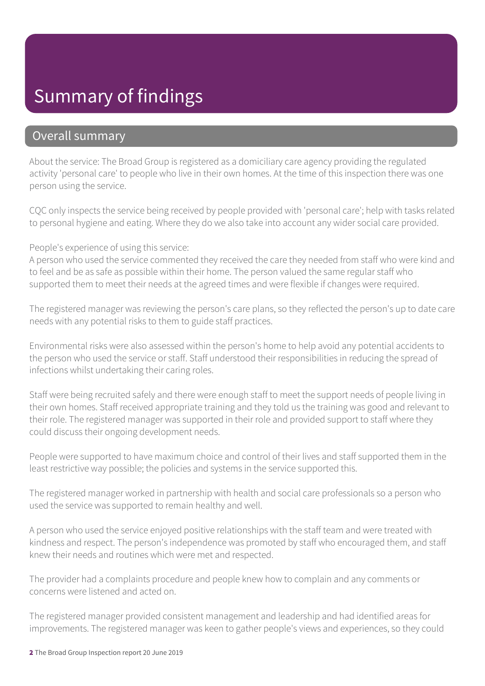### Summary of findings

#### Overall summary

About the service: The Broad Group is registered as a domiciliary care agency providing the regulated activity 'personal care' to people who live in their own homes. At the time of this inspection there was one person using the service.

CQC only inspects the service being received by people provided with 'personal care'; help with tasks related to personal hygiene and eating. Where they do we also take into account any wider social care provided.

People's experience of using this service:

A person who used the service commented they received the care they needed from staff who were kind and to feel and be as safe as possible within their home. The person valued the same regular staff who supported them to meet their needs at the agreed times and were flexible if changes were required.

The registered manager was reviewing the person's care plans, so they reflected the person's up to date care needs with any potential risks to them to guide staff practices.

Environmental risks were also assessed within the person's home to help avoid any potential accidents to the person who used the service or staff. Staff understood their responsibilities in reducing the spread of infections whilst undertaking their caring roles.

Staff were being recruited safely and there were enough staff to meet the support needs of people living in their own homes. Staff received appropriate training and they told us the training was good and relevant to their role. The registered manager was supported in their role and provided support to staff where they could discuss their ongoing development needs.

People were supported to have maximum choice and control of their lives and staff supported them in the least restrictive way possible; the policies and systems in the service supported this.

The registered manager worked in partnership with health and social care professionals so a person who used the service was supported to remain healthy and well.

A person who used the service enjoyed positive relationships with the staff team and were treated with kindness and respect. The person's independence was promoted by staff who encouraged them, and staff knew their needs and routines which were met and respected.

The provider had a complaints procedure and people knew how to complain and any comments or concerns were listened and acted on.

The registered manager provided consistent management and leadership and had identified areas for improvements. The registered manager was keen to gather people's views and experiences, so they could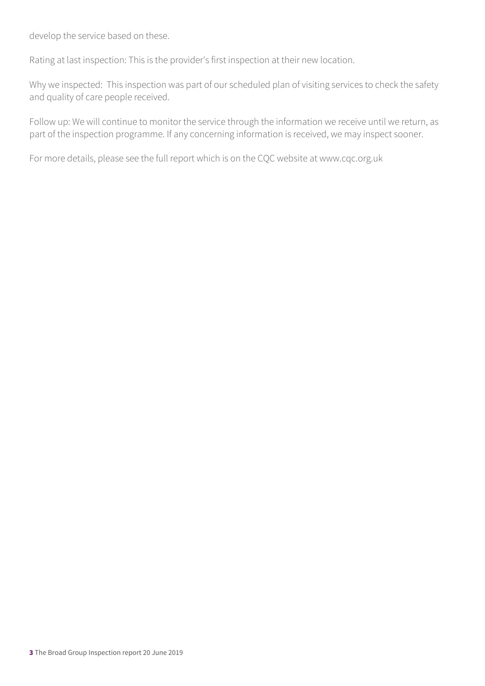develop the service based on these.

Rating at last inspection: This is the provider's first inspection at their new location.

Why we inspected: This inspection was part of our scheduled plan of visiting services to check the safety and quality of care people received.

Follow up: We will continue to monitor the service through the information we receive until we return, as part of the inspection programme. If any concerning information is received, we may inspect sooner.

For more details, please see the full report which is on the CQC website at www.cqc.org.uk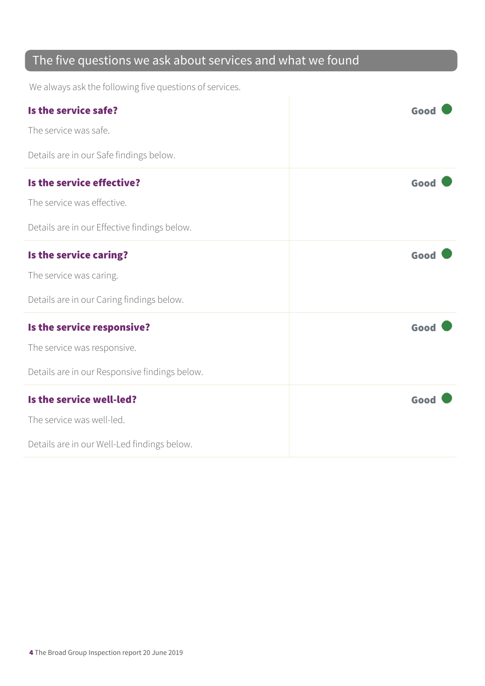### The five questions we ask about services and what we found

We always ask the following five questions of services.

| Is the service safe?                          | Good |
|-----------------------------------------------|------|
| The service was safe.                         |      |
| Details are in our Safe findings below.       |      |
| Is the service effective?                     | Good |
| The service was effective.                    |      |
| Details are in our Effective findings below.  |      |
| Is the service caring?                        | Good |
| The service was caring.                       |      |
| Details are in our Caring findings below.     |      |
| Is the service responsive?                    | Good |
| The service was responsive.                   |      |
| Details are in our Responsive findings below. |      |
| Is the service well-led?                      | Good |
| The service was well-led.                     |      |
| Details are in our Well-Led findings below.   |      |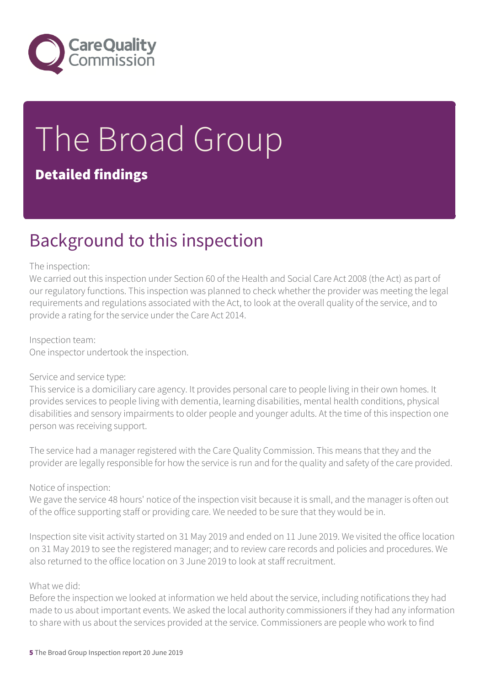

# The Broad Group

#### Detailed findings

### Background to this inspection

#### The inspection:

We carried out this inspection under Section 60 of the Health and Social Care Act 2008 (the Act) as part of our regulatory functions. This inspection was planned to check whether the provider was meeting the legal requirements and regulations associated with the Act, to look at the overall quality of the service, and to provide a rating for the service under the Care Act 2014.

#### Inspection team:

One inspector undertook the inspection.

#### Service and service type:

This service is a domiciliary care agency. It provides personal care to people living in their own homes. It provides services to people living with dementia, learning disabilities, mental health conditions, physical disabilities and sensory impairments to older people and younger adults. At the time of this inspection one person was receiving support.

The service had a manager registered with the Care Quality Commission. This means that they and the provider are legally responsible for how the service is run and for the quality and safety of the care provided.

#### Notice of inspection:

We gave the service 48 hours' notice of the inspection visit because it is small, and the manager is often out of the office supporting staff or providing care. We needed to be sure that they would be in.

Inspection site visit activity started on 31 May 2019 and ended on 11 June 2019. We visited the office location on 31 May 2019 to see the registered manager; and to review care records and policies and procedures. We also returned to the office location on 3 June 2019 to look at staff recruitment.

#### What we did:

Before the inspection we looked at information we held about the service, including notifications they had made to us about important events. We asked the local authority commissioners if they had any information to share with us about the services provided at the service. Commissioners are people who work to find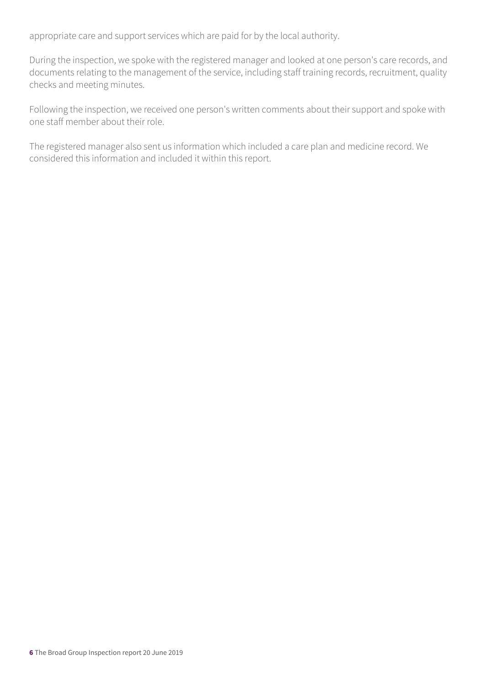appropriate care and support services which are paid for by the local authority.

During the inspection, we spoke with the registered manager and looked at one person's care records, and documents relating to the management of the service, including staff training records, recruitment, quality checks and meeting minutes.

Following the inspection, we received one person's written comments about their support and spoke with one staff member about their role.

The registered manager also sent us information which included a care plan and medicine record. We considered this information and included it within this report.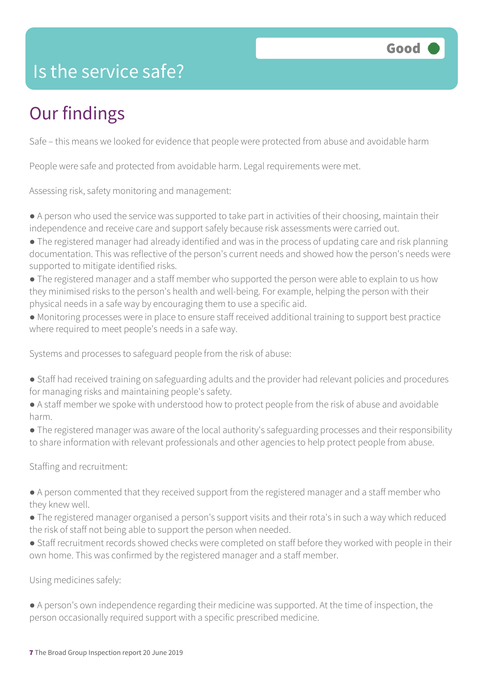

### Is the service safe?

### Our findings

Safe – this means we looked for evidence that people were protected from abuse and avoidable harm

People were safe and protected from avoidable harm. Legal requirements were met.

Assessing risk, safety monitoring and management:

- A person who used the service was supported to take part in activities of their choosing, maintain their independence and receive care and support safely because risk assessments were carried out.
- The registered manager had already identified and was in the process of updating care and risk planning documentation. This was reflective of the person's current needs and showed how the person's needs were supported to mitigate identified risks.
- The registered manager and a staff member who supported the person were able to explain to us how they minimised risks to the person's health and well-being. For example, helping the person with their physical needs in a safe way by encouraging them to use a specific aid.
- Monitoring processes were in place to ensure staff received additional training to support best practice where required to meet people's needs in a safe way.

Systems and processes to safeguard people from the risk of abuse:

- Staff had received training on safeguarding adults and the provider had relevant policies and procedures for managing risks and maintaining people's safety.
- A staff member we spoke with understood how to protect people from the risk of abuse and avoidable harm.
- The registered manager was aware of the local authority's safeguarding processes and their responsibility to share information with relevant professionals and other agencies to help protect people from abuse.

#### Staffing and recruitment:

- A person commented that they received support from the registered manager and a staff member who they knew well.
- The registered manager organised a person's support visits and their rota's in such a way which reduced the risk of staff not being able to support the person when needed.
- Staff recruitment records showed checks were completed on staff before they worked with people in their own home. This was confirmed by the registered manager and a staff member.

Using medicines safely:

● A person's own independence regarding their medicine was supported. At the time of inspection, the person occasionally required support with a specific prescribed medicine.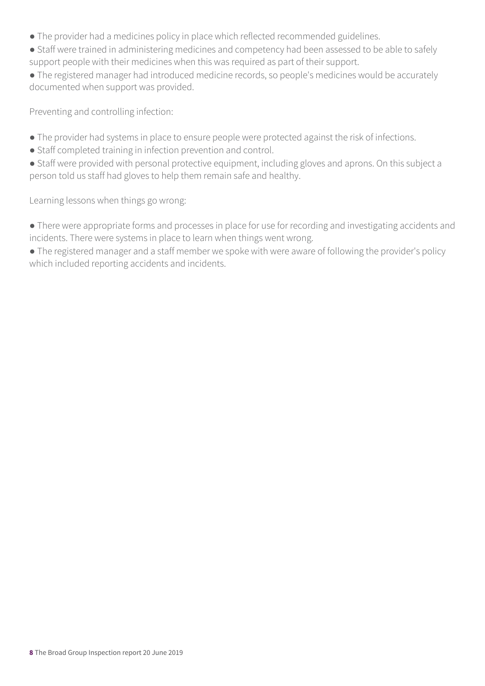- The provider had a medicines policy in place which reflected recommended guidelines.
- Staff were trained in administering medicines and competency had been assessed to be able to safely support people with their medicines when this was required as part of their support.

● The registered manager had introduced medicine records, so people's medicines would be accurately documented when support was provided.

Preventing and controlling infection:

- The provider had systems in place to ensure people were protected against the risk of infections.
- Staff completed training in infection prevention and control.
- Staff were provided with personal protective equipment, including gloves and aprons. On this subject a person told us staff had gloves to help them remain safe and healthy.

Learning lessons when things go wrong:

● There were appropriate forms and processes in place for use for recording and investigating accidents and incidents. There were systems in place to learn when things went wrong.

• The registered manager and a staff member we spoke with were aware of following the provider's policy which included reporting accidents and incidents.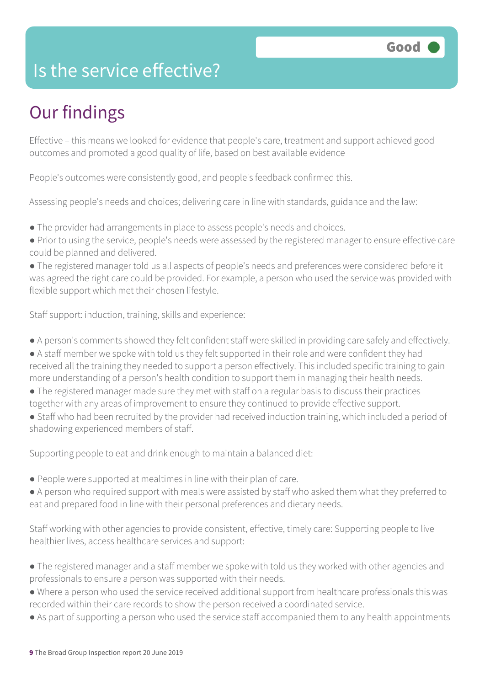### Is the service effective?

### Our findings

Effective – this means we looked for evidence that people's care, treatment and support achieved good outcomes and promoted a good quality of life, based on best available evidence

People's outcomes were consistently good, and people's feedback confirmed this.

Assessing people's needs and choices; delivering care in line with standards, guidance and the law:

- The provider had arrangements in place to assess people's needs and choices.
- Prior to using the service, people's needs were assessed by the registered manager to ensure effective care could be planned and delivered.

● The registered manager told us all aspects of people's needs and preferences were considered before it was agreed the right care could be provided. For example, a person who used the service was provided with flexible support which met their chosen lifestyle.

Staff support: induction, training, skills and experience:

- A person's comments showed they felt confident staff were skilled in providing care safely and effectively.
- A staff member we spoke with told us they felt supported in their role and were confident they had received all the training they needed to support a person effectively. This included specific training to gain more understanding of a person's health condition to support them in managing their health needs.
- The registered manager made sure they met with staff on a regular basis to discuss their practices together with any areas of improvement to ensure they continued to provide effective support.
- Staff who had been recruited by the provider had received induction training, which included a period of shadowing experienced members of staff.

Supporting people to eat and drink enough to maintain a balanced diet:

- People were supported at mealtimes in line with their plan of care.
- A person who required support with meals were assisted by staff who asked them what they preferred to eat and prepared food in line with their personal preferences and dietary needs.

Staff working with other agencies to provide consistent, effective, timely care: Supporting people to live healthier lives, access healthcare services and support:

- The registered manager and a staff member we spoke with told us they worked with other agencies and professionals to ensure a person was supported with their needs.
- Where a person who used the service received additional support from healthcare professionals this was recorded within their care records to show the person received a coordinated service.
- As part of supporting a person who used the service staff accompanied them to any health appointments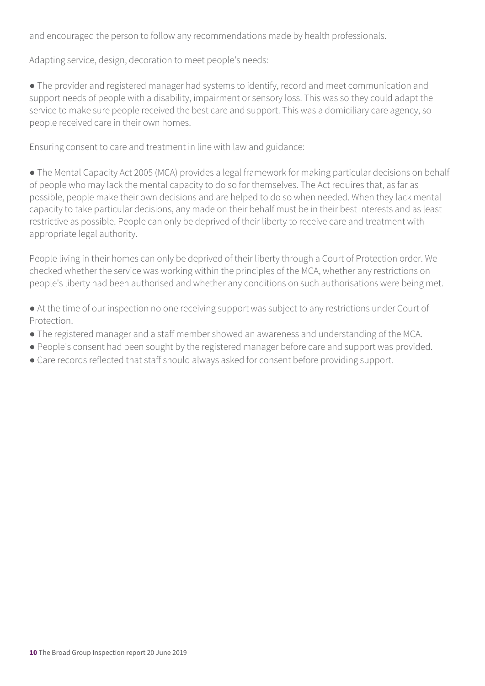and encouraged the person to follow any recommendations made by health professionals.

Adapting service, design, decoration to meet people's needs:

● The provider and registered manager had systems to identify, record and meet communication and support needs of people with a disability, impairment or sensory loss. This was so they could adapt the service to make sure people received the best care and support. This was a domiciliary care agency, so people received care in their own homes.

Ensuring consent to care and treatment in line with law and guidance:

• The Mental Capacity Act 2005 (MCA) provides a legal framework for making particular decisions on behalf of people who may lack the mental capacity to do so for themselves. The Act requires that, as far as possible, people make their own decisions and are helped to do so when needed. When they lack mental capacity to take particular decisions, any made on their behalf must be in their best interests and as least restrictive as possible. People can only be deprived of their liberty to receive care and treatment with appropriate legal authority.

People living in their homes can only be deprived of their liberty through a Court of Protection order. We checked whether the service was working within the principles of the MCA, whether any restrictions on people's liberty had been authorised and whether any conditions on such authorisations were being met.

● At the time of our inspection no one receiving support was subject to any restrictions under Court of Protection.

- The registered manager and a staff member showed an awareness and understanding of the MCA.
- People's consent had been sought by the registered manager before care and support was provided.
- Care records reflected that staff should always asked for consent before providing support.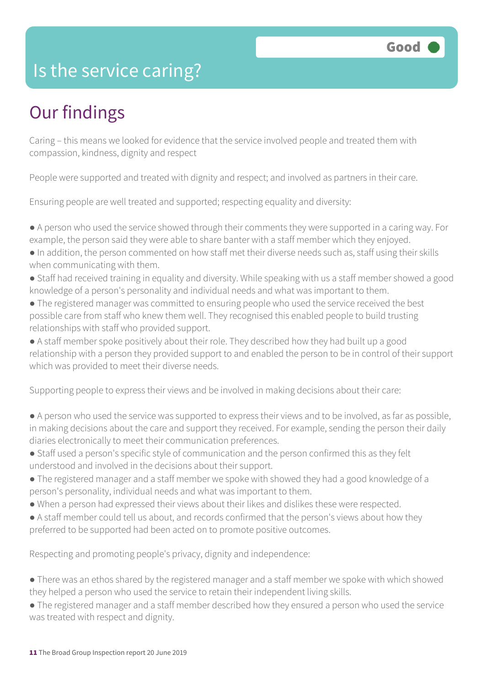### Is the service caring?

### Our findings

Caring – this means we looked for evidence that the service involved people and treated them with compassion, kindness, dignity and respect

People were supported and treated with dignity and respect; and involved as partners in their care.

Ensuring people are well treated and supported; respecting equality and diversity:

- A person who used the service showed through their comments they were supported in a caring way. For example, the person said they were able to share banter with a staff member which they enjoyed.
- In addition, the person commented on how staff met their diverse needs such as, staff using their skills when communicating with them.
- Staff had received training in equality and diversity. While speaking with us a staff member showed a good knowledge of a person's personality and individual needs and what was important to them.
- The registered manager was committed to ensuring people who used the service received the best possible care from staff who knew them well. They recognised this enabled people to build trusting relationships with staff who provided support.
- A staff member spoke positively about their role. They described how they had built up a good relationship with a person they provided support to and enabled the person to be in control of their support which was provided to meet their diverse needs.

Supporting people to express their views and be involved in making decisions about their care:

- A person who used the service was supported to express their views and to be involved, as far as possible, in making decisions about the care and support they received. For example, sending the person their daily diaries electronically to meet their communication preferences.
- Staff used a person's specific style of communication and the person confirmed this as they felt understood and involved in the decisions about their support.
- The registered manager and a staff member we spoke with showed they had a good knowledge of a person's personality, individual needs and what was important to them.
- When a person had expressed their views about their likes and dislikes these were respected.
- A staff member could tell us about, and records confirmed that the person's views about how they preferred to be supported had been acted on to promote positive outcomes.

Respecting and promoting people's privacy, dignity and independence:

- There was an ethos shared by the registered manager and a staff member we spoke with which showed they helped a person who used the service to retain their independent living skills.
- The registered manager and a staff member described how they ensured a person who used the service was treated with respect and dignity.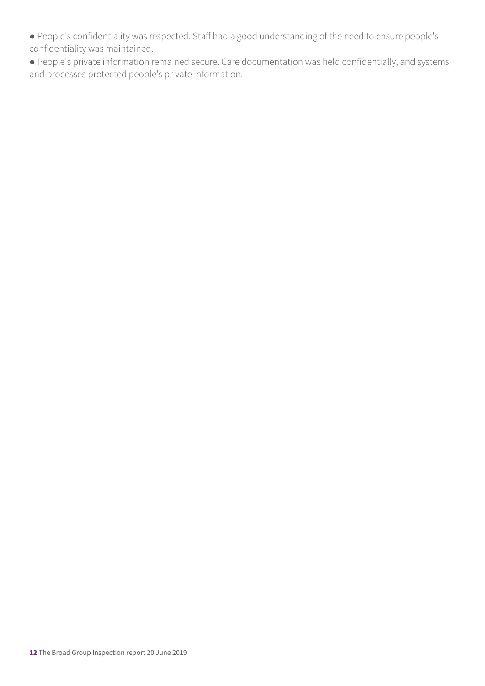● People's confidentiality was respected. Staff had a good understanding of the need to ensure people's confidentiality was maintained.

● People's private information remained secure. Care documentation was held confidentially, and systems and processes protected people's private information.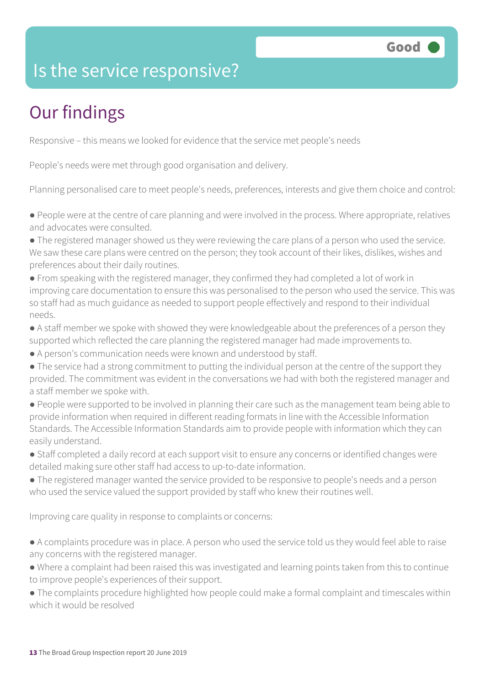### Is the service responsive?

### Our findings

Responsive – this means we looked for evidence that the service met people's needs

People's needs were met through good organisation and delivery.

Planning personalised care to meet people's needs, preferences, interests and give them choice and control:

● People were at the centre of care planning and were involved in the process. Where appropriate, relatives and advocates were consulted.

- The registered manager showed us they were reviewing the care plans of a person who used the service. We saw these care plans were centred on the person; they took account of their likes, dislikes, wishes and preferences about their daily routines.
- From speaking with the registered manager, they confirmed they had completed a lot of work in improving care documentation to ensure this was personalised to the person who used the service. This was so staff had as much guidance as needed to support people effectively and respond to their individual needs.
- A staff member we spoke with showed they were knowledgeable about the preferences of a person they supported which reflected the care planning the registered manager had made improvements to.
- A person's communication needs were known and understood by staff.
- The service had a strong commitment to putting the individual person at the centre of the support they provided. The commitment was evident in the conversations we had with both the registered manager and a staff member we spoke with.
- People were supported to be involved in planning their care such as the management team being able to provide information when required in different reading formats in line with the Accessible Information Standards. The Accessible Information Standards aim to provide people with information which they can easily understand.
- Staff completed a daily record at each support visit to ensure any concerns or identified changes were detailed making sure other staff had access to up-to-date information.
- The registered manager wanted the service provided to be responsive to people's needs and a person who used the service valued the support provided by staff who knew their routines well.

Improving care quality in response to complaints or concerns:

- A complaints procedure was in place. A person who used the service told us they would feel able to raise any concerns with the registered manager.
- Where a complaint had been raised this was investigated and learning points taken from this to continue to improve people's experiences of their support.
- The complaints procedure highlighted how people could make a formal complaint and timescales within which it would be resolved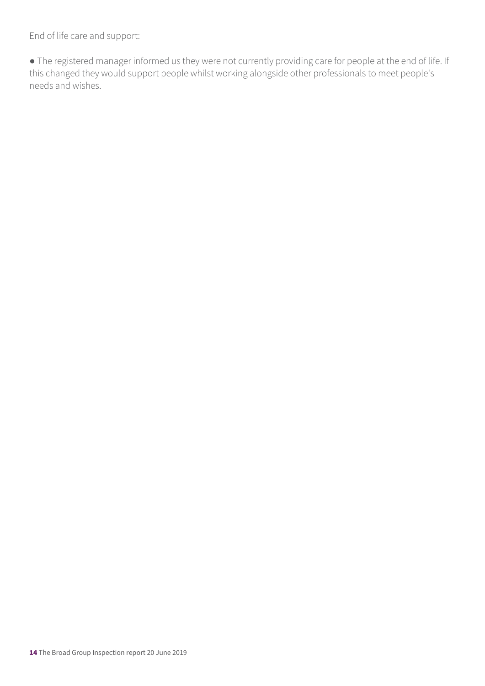End of life care and support:

● The registered manager informed us they were not currently providing care for people at the end of life. If this changed they would support people whilst working alongside other professionals to meet people's needs and wishes.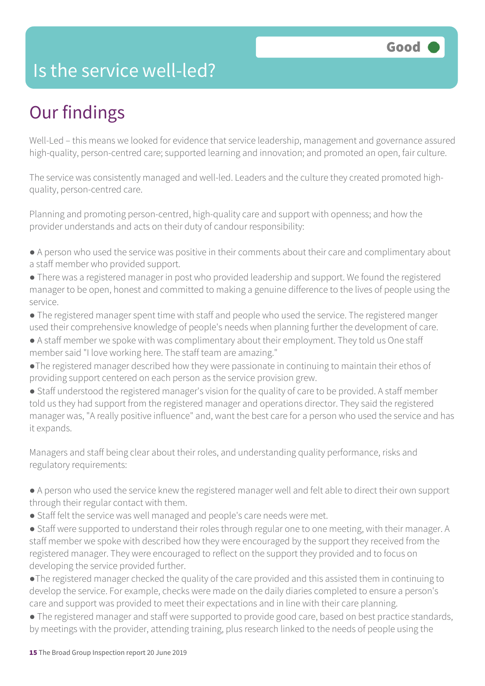### Is the service well-led?

### Our findings

Well-Led – this means we looked for evidence that service leadership, management and governance assured high-quality, person-centred care; supported learning and innovation; and promoted an open, fair culture.

The service was consistently managed and well-led. Leaders and the culture they created promoted highquality, person-centred care.

Planning and promoting person-centred, high-quality care and support with openness; and how the provider understands and acts on their duty of candour responsibility:

- A person who used the service was positive in their comments about their care and complimentary about a staff member who provided support.
- There was a registered manager in post who provided leadership and support. We found the registered manager to be open, honest and committed to making a genuine difference to the lives of people using the service.
- The registered manager spent time with staff and people who used the service. The registered manger used their comprehensive knowledge of people's needs when planning further the development of care.
- A staff member we spoke with was complimentary about their employment. They told us One staff member said "I love working here. The staff team are amazing."
- ●The registered manager described how they were passionate in continuing to maintain their ethos of providing support centered on each person as the service provision grew.
- Staff understood the registered manager's vision for the quality of care to be provided. A staff member told us they had support from the registered manager and operations director. They said the registered manager was, "A really positive influence" and, want the best care for a person who used the service and has it expands.

Managers and staff being clear about their roles, and understanding quality performance, risks and regulatory requirements:

● A person who used the service knew the registered manager well and felt able to direct their own support through their regular contact with them.

- Staff felt the service was well managed and people's care needs were met.
- Staff were supported to understand their roles through regular one to one meeting, with their manager. A staff member we spoke with described how they were encouraged by the support they received from the registered manager. They were encouraged to reflect on the support they provided and to focus on developing the service provided further.
- ●The registered manager checked the quality of the care provided and this assisted them in continuing to develop the service. For example, checks were made on the daily diaries completed to ensure a person's care and support was provided to meet their expectations and in line with their care planning.
- The registered manager and staff were supported to provide good care, based on best practice standards, by meetings with the provider, attending training, plus research linked to the needs of people using the